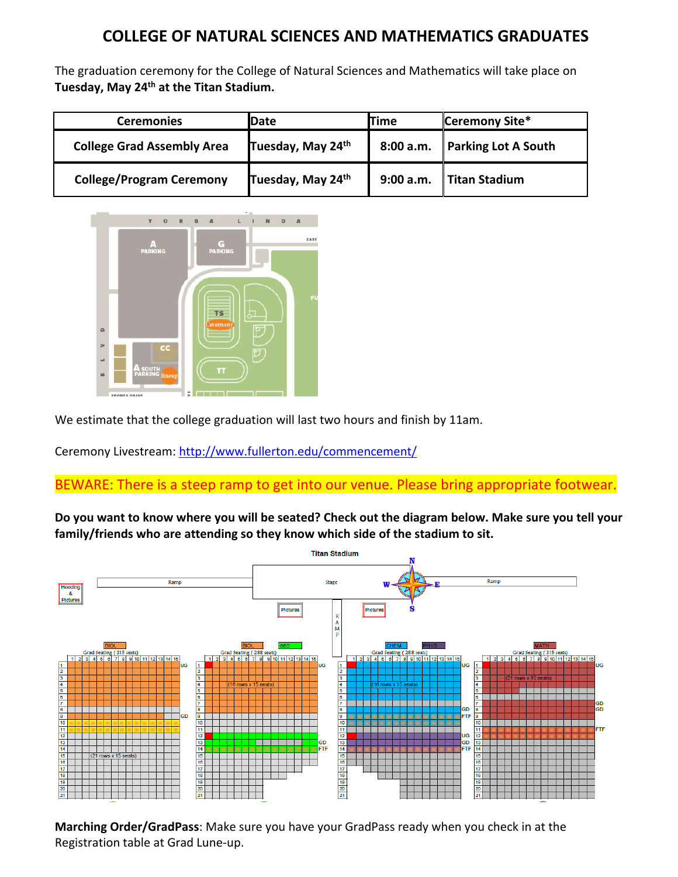## **COLLEGE OF NATURAL SCIENCES AND MATHEMATICS GRADUATES**

The graduation ceremony for the College of Natural Sciences and Mathematics will take place on **Tuesday, May 24th at the Titan Stadium.**

| <b>Ceremonies</b>                 | Date              | Time      | Ceremony Site*             |
|-----------------------------------|-------------------|-----------|----------------------------|
| <b>College Grad Assembly Area</b> | Tuesday, May 24th | 8:00 a.m. | <b>Parking Lot A South</b> |
| <b>College/Program Ceremony</b>   | Tuesday, May 24th | 9:00 a.m. | Titan Stadium              |



We estimate that the college graduation will last two hours and finish by 11am.

Ceremony Livestream:<http://www.fullerton.edu/commencement/>

## BEWARE: There is a steep ramp to get into our venue. Please bring appropriate footwear.

**Do you want to know where you will be seated? Check out the diagram below. Make sure you tell your family/friends who are attending so they know which side of the stadium to sit.**



**Marching Order/GradPass**: Make sure you have your GradPass ready when you check in at the Registration table at Grad Lune-up.